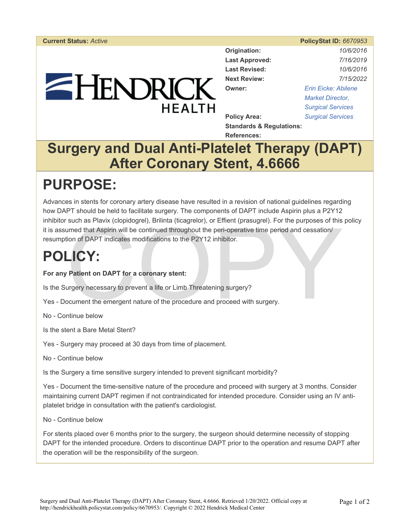#### **Current Status:** *Active* **PolicyStat ID:** *6670953*

# $=$  HENDRICK **HFAITH**

| Origination:          | 10/6/2016                |
|-----------------------|--------------------------|
| <b>Last Approved:</b> | 7/16/2019                |
| <b>Last Revised:</b>  | 10/6/2016                |
| <b>Next Review:</b>   | 7/15/2022                |
| Owner:                | Erin Eicke: Abilene      |
|                       | <b>Market Director,</b>  |
|                       | <b>Surgical Services</b> |
| <b>Policy Area:</b>   | <b>Surgical Services</b> |
|                       |                          |

**Standards & Regulations: References:** 

## **Surgery and Dual Anti-Platelet Therapy (DAPT) After Coronary Stent, 4.6666**

# **PURPOSE:**

such as Plavix (cloploogrel), Brillinta (ticagrelor), or Ement (prasugrel). For the purposes of this<br>umed that Aspirin will be continued throughout the peri-operative time period and cessation/<br>ion of DAPT indicates modifi Advances in stents for coronary artery disease have resulted in a revision of national guidelines regarding how DAPT should be held to facilitate surgery. The components of DAPT include Aspirin plus a P2Y12 inhibitor such as Plavix (clopidogrel), Brilinta (ticagrelor), or Effient (prasugrel). For the purposes of this policy it is assumed that Aspirin will be continued throughout the peri-operative time period and cessation/ resumption of DAPT indicates modifications to the P2Y12 inhibitor.

# **POLICY:**

### **For any Patient on DAPT for a coronary stent:**

Is the Surgery necessary to prevent a life or Limb Threatening surgery?

- Yes Document the emergent nature of the procedure and proceed with surgery.
- No Continue below
- Is the stent a Bare Metal Stent?
- Yes Surgery may proceed at 30 days from time of placement.
- No Continue below

Is the Surgery a time sensitive surgery intended to prevent significant morbidity?

Yes - Document the time-sensitive nature of the procedure and proceed with surgery at 3 months. Consider maintaining current DAPT regimen if not contraindicated for intended procedure. Consider using an IV antiplatelet bridge in consultation with the patient's cardiologist.

#### No - Continue below

For stents placed over 6 months prior to the surgery, the surgeon should determine necessity of stopping DAPT for the intended procedure. Orders to discontinue DAPT prior to the operation and resume DAPT after the operation will be the responsibility of the surgeon.